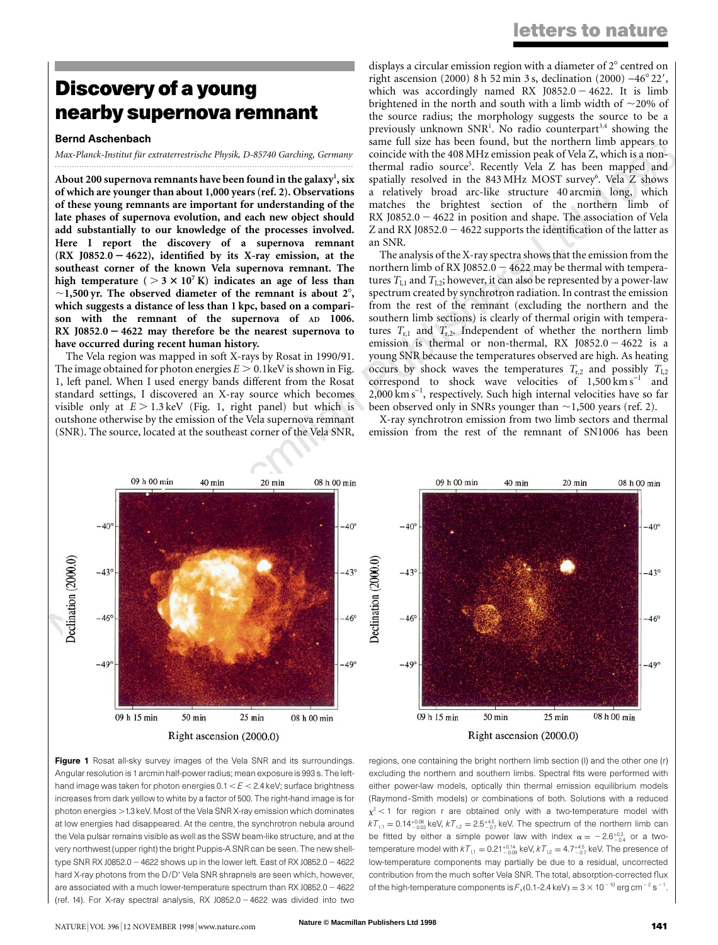### letters to nature

## Discovery of a young nearby supernova remnant

#### Bernd Aschenbach

Max-Planck-Institut für extraterrestrische Physik, D-85740 Garching, Germany .........................................................................................................................

About 200 supernova remnants have been found in the galaxy $^{\rm l}$ , six of which are younger than about 1,000 years (ref. 2). Observations of these young remnants are important for understanding of the late phases of supernova evolution, and each new object should add substantially to our knowledge of the processes involved. Here I report the discovery of a supernova remnant (RX J0852.0  $-$  4622), identified by its X-ray emission, at the southeast corner of the known Vela supernova remnant. The high temperature ( $> 3 \times 10^7$  K) indicates an age of less than  $\sim$ 1,500 yr. The observed diameter of the remnant is about 2 $^{\circ}$ , which suggests a distance of less than 1 kpc, based on a comparison with the remnant of the supernova of AD 1006. RX J0852.0  $-$  4622 may therefore be the nearest supernova to have occurred during recent human history.

The Vela region was mapped in soft X-rays by Rosat in 1990/91. The image obtained for photon energies  $E > 0.1$ keV is shown in Fig. 1, left panel. When I used energy bands different from the Rosat standard settings, I discovered an X-ray source which becomes visible only at  $E > 1.3$  keV (Fig. 1, right panel) but which is outshone otherwise by the emission of the Vela supernova remnant (SNR). The source, located at the southeast corner of the Vela SNR,

same full size has been found, but the northern limb appears to<br>coincide with the 408 MHz emission peak of Vela Z, which is a non-<br>thermal radio source<sup>5</sup>. Recently Vela Z has been mapped and displays a circular emission region with a diameter of  $2^\circ$  centred on right ascension (2000) 8 h 52 min 3 s, declination (2000)  $-46^{\circ}22'$ , which was accordingly named RX J0852.0 - 4622. It is limb brightened in the north and south with a limb width of  $\sim$ 20% of the source radius; the morphology suggests the source to be a previously unknown SNR<sup>1</sup>. No radio counterpart<sup>3,4</sup> showing the same full size has been found, but the northern limb appears to coincide with the 408 MHz emission peak of Vela Z, which is a nonspatially resolved in the 843 MHz MOST survey<sup>6</sup>. Vela Z shows a relatively broad arc-like structure 40 arcmin long, which matches the brightest section of the northern limb of RX J0852.0  $-4622$  in position and shape. The association of Vela Z and RX J0852.0  $-$  4622 supports the identification of the latter as an SNR.

The analysis of the X-ray spectra shows that the emission from the northern limb of RX J0852.0  $-$  4622 may be thermal with temperatures  $T_{1,1}$  and  $T_{1,2}$ ; however, it can also be represented by a power-law spectrum created by synchrotron radiation. In contrast the emission from the rest of the remnant (excluding the northern and the southern limb sections) is clearly of thermal origin with temperatures  $T_{r,1}$  and  $T_{r,2}$ . Independent of whether the northern limb emission is thermal or non-thermal, RX  $J0852.0 - 4622$  is a young SNR because the temperatures observed are high. As heating occurs by shock waves the temperatures  $T_{r,2}$  and possibly  $T_{1,2}$ correspond to shock wave velocities of  $1,500 \text{ km s}^{-1}$  and  $2,000\,\rm km\,s^{-1}$ , respectively. Such high internal velocities have so far been observed only in SNRs younger than  $\sim$  1,500 years (ref. 2).

X-ray synchrotron emission from two limb sectors and thermal emission from the rest of the remnant of SN1006 has been



Figure 1 Rosat all-sky survey images of the Vela SNR and its surroundings. Angular resolution is 1 arcmin half-power radius; mean exposure is 993 s. The lefthand image was taken for photon energies  $0.1 < E < 2.4$  keV; surface brightness increases from dark yellow to white by a factor of 500. The right-hand image is for photon energies > 1.3 keV. Most of the Vela SNR X-ray emission which dominates at low energies had disappeared. At the centre, the synchrotron nebula around the Vela pulsar remains visible as well as the SSW beam-like structure, and at the very northwest (upper right) the bright Puppis-A SNR can be seen. The new shelltype SNR RX J0852.0  $-$  4622 shows up in the lower left. East of RX J0852.0  $-$  4622 hard X-ray photons from the D/D' Vela SNR shrapnels are seen which, however, are associated with a much lower-temperature spectrum than RX J0852.0 - 4622 (ref. 14). For X-ray spectral analysis, RX J0852.0 - 4622 was divided into two regions, one containing the bright northern limb section (l) and the other one (r) excluding the northern and southern limbs. Spectral fits were performed with either power-law models, optically thin thermal emission equilibrium models (Raymond±Smith models) or combinations of both. Solutions with a reduced  $x^2$  < 1 for region r are obtained only with a two-temperature model with  $kT_{\rm r,1} =$  0.14 $^{+0.08}_{-0.03}$  keV,  $kT_{\rm r,2} =$  2.5 $^{+4.5}_{-0.7}$  keV. The spectrum of the northern limb can be fitted by either a simple power law with index  $\alpha = -2.6^{+0.3}_{-0.4}$  or a twotemperature model with  $kT_{\scriptscriptstyle 1,1} =$  0.21 $^{+0.14}_{-0.09}$  keV,  $kT_{\scriptscriptstyle 1,2} =$  4.7 $^{+4.5}_{-0.7}$  keV. The presence of low-temperature components may partially be due to a residual, uncorrected contribution from the much softer Vela SNR. The total, absorption-corrected flux of the high-temperature components is  $F_x(0.1$ -2.4 keV) = 3  $\times$  10  $^{-10}$  erg cm  $^{-2}$  s  $^{-1}$ .